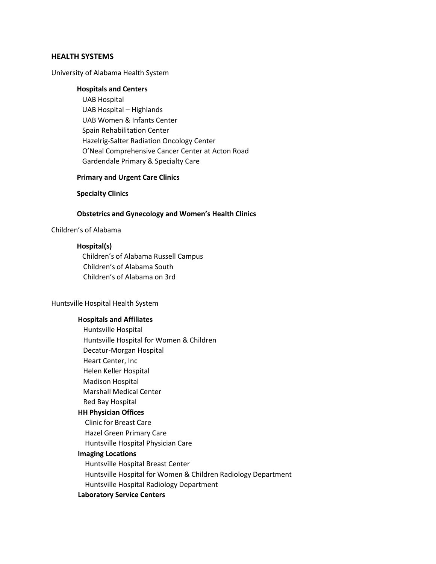# **HEALTH SYSTEMS**

# University of Alabama Health System

## **Hospitals and Centers**

 UAB Hospital UAB Hospital – Highlands UAB Women & Infants Center Spain Rehabilitation Center Hazelrig-Salter Radiation Oncology Center O'Neal Comprehensive Cancer Center at Acton Road Gardendale Primary & Specialty Care

### **Primary and Urgent Care Clinics**

#### **Specialty Clinics**

#### **Obstetrics and Gynecology and Women's Health Clinics**

### Children's of Alabama

# **Hospital(s)**

Children's of Alabama Russell Campus Children's of Alabama South Children's of Alabama on 3rd

#### Huntsville Hospital Health System

## **Hospitals and Affiliates**

Huntsville Hospital Huntsville Hospital for Women & Children Decatur-Morgan Hospital Heart Center, Inc Helen Keller Hospital Madison Hospital Marshall Medical Center Red Bay Hospital  **HH Physician Offices** Clinic for Breast Care

Hazel Green Primary Care

Huntsville Hospital Physician Care

# **Imaging Locations**

Huntsville Hospital Breast Center Huntsville Hospital for Women & Children Radiology Department Huntsville Hospital Radiology Department

# **Laboratory Service Centers**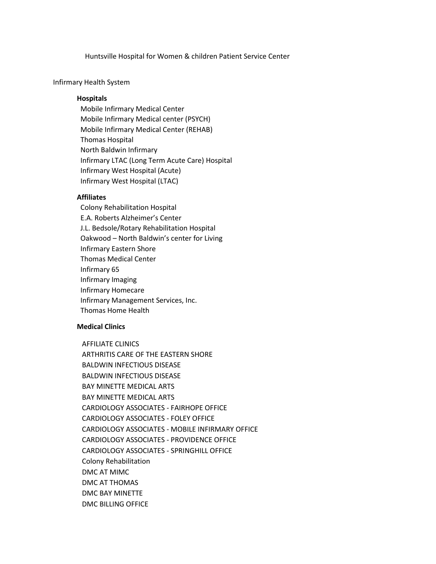Huntsville Hospital for Women & children Patient Service Center

#### Infirmary Health System

## **Hospitals**

 Mobile Infirmary Medical Center Mobile Infirmary Medical center (PSYCH) Mobile Infirmary Medical Center (REHAB) Thomas Hospital North Baldwin Infirmary Infirmary LTAC (Long Term Acute Care) Hospital Infirmary West Hospital (Acute) Infirmary West Hospital (LTAC)

### **Affiliates**

 Colony Rehabilitation Hospital E.A. Roberts Alzheimer's Center J.L. Bedsole/Rotary Rehabilitation Hospital Oakwood – North Baldwin's center for Living Infirmary Eastern Shore Thomas Medical Center Infirmary 65 Infirmary Imaging Infirmary Homecare Infirmary Management Services, Inc. Thomas Home Health

# **Medical Clinics**

 AFFILIATE CLINICS ARTHRITIS CARE OF THE EASTERN SHORE BALDWIN INFECTIOUS DISEASE BALDWIN INFECTIOUS DISEASE BAY MINETTE MEDICAL ARTS BAY MINETTE MEDICAL ARTS CARDIOLOGY ASSOCIATES - FAIRHOPE OFFICE CARDIOLOGY ASSOCIATES - FOLEY OFFICE CARDIOLOGY ASSOCIATES - MOBILE INFIRMARY OFFICE CARDIOLOGY ASSOCIATES - PROVIDENCE OFFICE CARDIOLOGY ASSOCIATES - SPRINGHILL OFFICE Colony Rehabilitation DMC AT MIMC DMC AT THOMAS DMC BAY MINETTE DMC BILLING OFFICE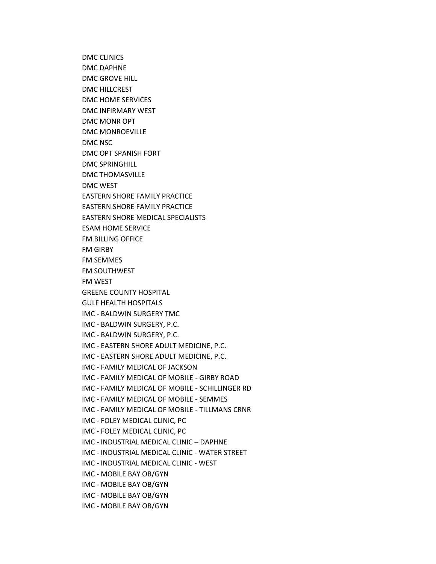DMC CLINICS DMC DAPHNE DMC GROVE HILL DMC HILLCREST DMC HOME SERVICES DMC INFIRMARY WEST DMC MONR OPT DMC MONROEVILLE DMC NSC DMC OPT SPANISH FORT DMC SPRINGHILL DMC THOMASVILLE DMC WEST EASTERN SHORE FAMILY PRACTICE EASTERN SHORE FAMILY PRACTICE EASTERN SHORE MEDICAL SPECIALISTS ESAM HOME SERVICE FM BILLING OFFICE FM GIRBY FM SEMMES FM SOUTHWEST FM WEST GREENE COUNTY HOSPITAL GULF HEALTH HOSPITALS IMC - BALDWIN SURGERY TMC IMC - BALDWIN SURGERY, P.C. IMC - BALDWIN SURGERY, P.C. IMC - EASTERN SHORE ADULT MEDICINE, P.C. IMC - EASTERN SHORE ADULT MEDICINE, P.C. IMC - FAMILY MEDICAL OF JACKSON IMC - FAMILY MEDICAL OF MOBILE - GIRBY ROAD IMC - FAMILY MEDICAL OF MOBILE - SCHILLINGER RD IMC - FAMILY MEDICAL OF MOBILE - SEMMES IMC - FAMILY MEDICAL OF MOBILE - TILLMANS CRNR IMC - FOLEY MEDICAL CLINIC, PC IMC - FOLEY MEDICAL CLINIC, PC IMC - INDUSTRIAL MEDICAL CLINIC – DAPHNE IMC - INDUSTRIAL MEDICAL CLINIC - WATER STREET IMC - INDUSTRIAL MEDICAL CLINIC - WEST IMC - MOBILE BAY OB/GYN IMC - MOBILE BAY OB/GYN IMC - MOBILE BAY OB/GYN IMC - MOBILE BAY OB/GYN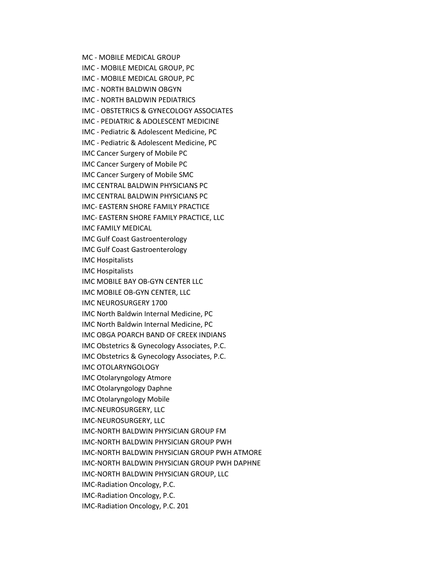MC - MOBILE MEDICAL GROUP IMC - MOBILE MEDICAL GROUP, PC IMC - MOBILE MEDICAL GROUP, PC IMC - NORTH BALDWIN OBGYN IMC - NORTH BALDWIN PEDIATRICS IMC - OBSTETRICS & GYNECOLOGY ASSOCIATES IMC - PEDIATRIC & ADOLESCENT MEDICINE IMC - Pediatric & Adolescent Medicine, PC IMC - Pediatric & Adolescent Medicine, PC IMC Cancer Surgery of Mobile PC IMC Cancer Surgery of Mobile PC IMC Cancer Surgery of Mobile SMC IMC CENTRAL BALDWIN PHYSICIANS PC IMC CENTRAL BALDWIN PHYSICIANS PC IMC- EASTERN SHORE FAMILY PRACTICE IMC- EASTERN SHORE FAMILY PRACTICE, LLC IMC FAMILY MEDICAL IMC Gulf Coast Gastroenterology IMC Gulf Coast Gastroenterology IMC Hospitalists IMC Hospitalists IMC MOBILE BAY OB-GYN CENTER LLC IMC MOBILE OB-GYN CENTER, LLC IMC NEUROSURGERY 1700 IMC North Baldwin Internal Medicine, PC IMC North Baldwin Internal Medicine, PC IMC OBGA POARCH BAND OF CREEK INDIANS IMC Obstetrics & Gynecology Associates, P.C. IMC Obstetrics & Gynecology Associates, P.C. IMC OTOLARYNGOLOGY IMC Otolaryngology Atmore IMC Otolaryngology Daphne IMC Otolaryngology Mobile IMC-NEUROSURGERY, LLC IMC-NEUROSURGERY, LLC IMC-NORTH BALDWIN PHYSICIAN GROUP FM IMC-NORTH BALDWIN PHYSICIAN GROUP PWH IMC-NORTH BALDWIN PHYSICIAN GROUP PWH ATMORE IMC-NORTH BALDWIN PHYSICIAN GROUP PWH DAPHNE IMC-NORTH BALDWIN PHYSICIAN GROUP, LLC IMC-Radiation Oncology, P.C. IMC-Radiation Oncology, P.C. IMC-Radiation Oncology, P.C. 201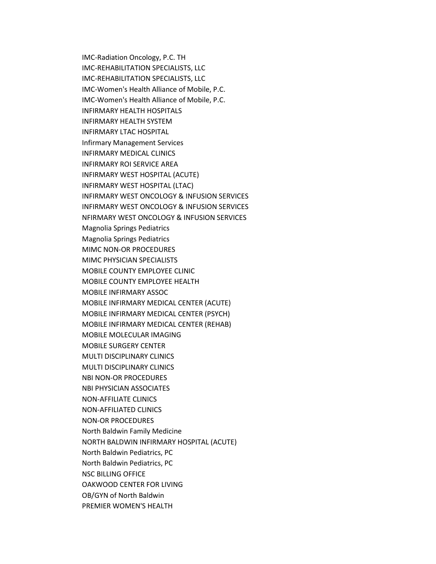IMC-Radiation Oncology, P.C. TH IMC-REHABILITATION SPECIALISTS, LLC IMC-REHABILITATION SPECIALISTS, LLC IMC-Women's Health Alliance of Mobile, P.C. IMC-Women's Health Alliance of Mobile, P.C. INFIRMARY HEALTH HOSPITALS INFIRMARY HEALTH SYSTEM INFIRMARY LTAC HOSPITAL Infirmary Management Services INFIRMARY MEDICAL CLINICS INFIRMARY ROI SERVICE AREA INFIRMARY WEST HOSPITAL (ACUTE) INFIRMARY WEST HOSPITAL (LTAC) INFIRMARY WEST ONCOLOGY & INFUSION SERVICES INFIRMARY WEST ONCOLOGY & INFUSION SERVICES NFIRMARY WEST ONCOLOGY & INFUSION SERVICES Magnolia Springs Pediatrics Magnolia Springs Pediatrics MIMC NON-OR PROCEDURES MIMC PHYSICIAN SPECIALISTS MOBILE COUNTY EMPLOYEE CLINIC MOBILE COUNTY EMPLOYEE HEALTH MOBILE INFIRMARY ASSOC MOBILE INFIRMARY MEDICAL CENTER (ACUTE) MOBILE INFIRMARY MEDICAL CENTER (PSYCH) MOBILE INFIRMARY MEDICAL CENTER (REHAB) MOBILE MOLECULAR IMAGING MOBILE SURGERY CENTER MULTI DISCIPLINARY CLINICS MULTI DISCIPLINARY CLINICS NBI NON-OR PROCEDURES NBI PHYSICIAN ASSOCIATES NON-AFFILIATE CLINICS NON-AFFILIATED CLINICS NON-OR PROCEDURES North Baldwin Family Medicine NORTH BALDWIN INFIRMARY HOSPITAL (ACUTE) North Baldwin Pediatrics, PC North Baldwin Pediatrics, PC NSC BILLING OFFICE OAKWOOD CENTER FOR LIVING OB/GYN of North Baldwin PREMIER WOMEN'S HEALTH